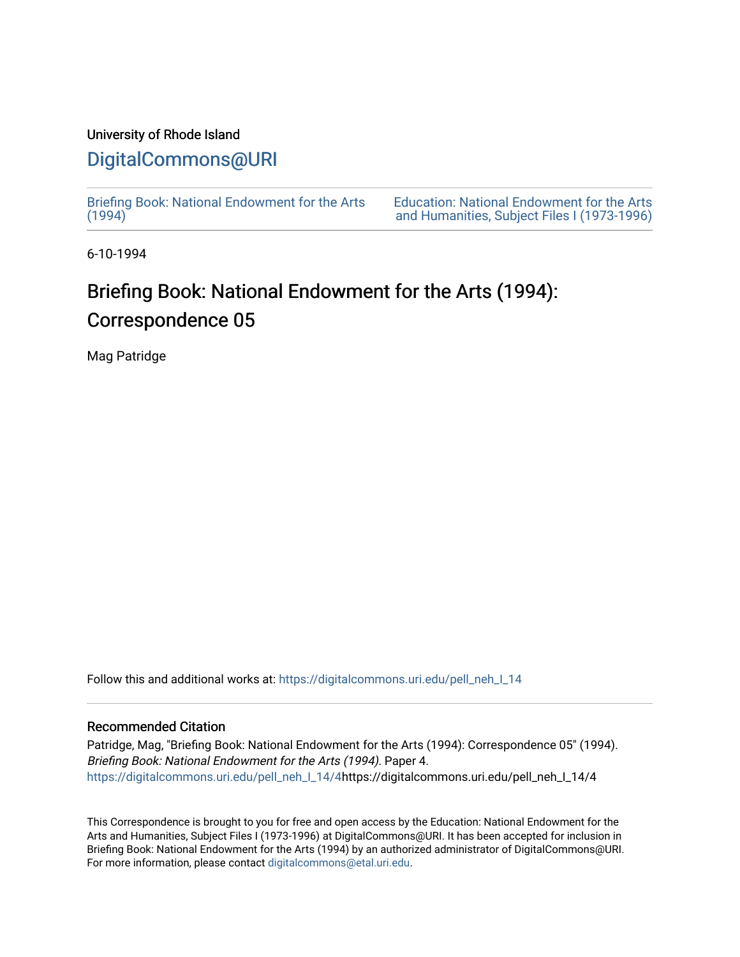### University of Rhode Island

## [DigitalCommons@URI](https://digitalcommons.uri.edu/)

[Briefing Book: National Endowment for the Arts](https://digitalcommons.uri.edu/pell_neh_I_14)  $(1994)$ 

[Education: National Endowment for the Arts](https://digitalcommons.uri.edu/pell_neh_I)  [and Humanities, Subject Files I \(1973-1996\)](https://digitalcommons.uri.edu/pell_neh_I) 

6-10-1994

# Briefing Book: National Endowment for the Arts (1994): Correspondence 05

Mag Patridge

Follow this and additional works at: [https://digitalcommons.uri.edu/pell\\_neh\\_I\\_14](https://digitalcommons.uri.edu/pell_neh_I_14?utm_source=digitalcommons.uri.edu%2Fpell_neh_I_14%2F4&utm_medium=PDF&utm_campaign=PDFCoverPages) 

#### Recommended Citation

Patridge, Mag, "Briefing Book: National Endowment for the Arts (1994): Correspondence 05" (1994). Briefing Book: National Endowment for the Arts (1994). Paper 4. [https://digitalcommons.uri.edu/pell\\_neh\\_I\\_14/4h](https://digitalcommons.uri.edu/pell_neh_I_14/4?utm_source=digitalcommons.uri.edu%2Fpell_neh_I_14%2F4&utm_medium=PDF&utm_campaign=PDFCoverPages)ttps://digitalcommons.uri.edu/pell\_neh\_I\_14/4

This Correspondence is brought to you for free and open access by the Education: National Endowment for the Arts and Humanities, Subject Files I (1973-1996) at DigitalCommons@URI. It has been accepted for inclusion in Briefing Book: National Endowment for the Arts (1994) by an authorized administrator of DigitalCommons@URI. For more information, please contact [digitalcommons@etal.uri.edu](mailto:digitalcommons@etal.uri.edu).